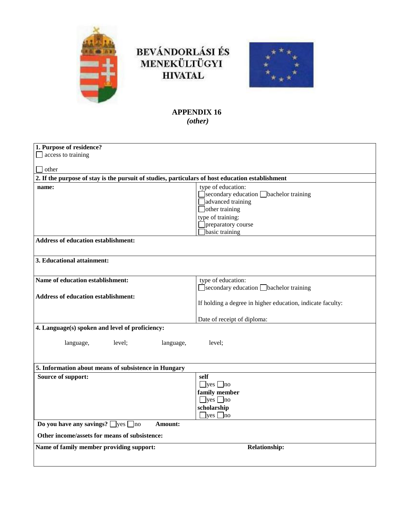

# BEVÁNDORLÁSI ÉS<br>MENEKÜLTÜGYI **HIVATAL**



# **APPENDIX 16** *(other)*

| 1. Purpose of residence?                                                                         |                                                            |
|--------------------------------------------------------------------------------------------------|------------------------------------------------------------|
| access to training                                                                               |                                                            |
|                                                                                                  |                                                            |
| other                                                                                            |                                                            |
| 2. If the purpose of stay is the pursuit of studies, particulars of host education establishment |                                                            |
| name:                                                                                            | type of education:                                         |
|                                                                                                  | $\Box$ secondary education $\Box$ bachelor training        |
|                                                                                                  | advanced training                                          |
|                                                                                                  | $\Box$ other training                                      |
|                                                                                                  | type of training:                                          |
|                                                                                                  | preparatory course                                         |
|                                                                                                  | basic training                                             |
| <b>Address of education establishment:</b>                                                       |                                                            |
|                                                                                                  |                                                            |
| 3. Educational attainment:                                                                       |                                                            |
|                                                                                                  |                                                            |
|                                                                                                  |                                                            |
| Name of education establishment:                                                                 | type of education:                                         |
|                                                                                                  | Secondary education <b>Shachelor</b> training              |
| <b>Address of education establishment:</b>                                                       |                                                            |
|                                                                                                  | If holding a degree in higher education, indicate faculty: |
|                                                                                                  |                                                            |
|                                                                                                  | Date of receipt of diploma:                                |
| 4. Language(s) spoken and level of proficiency:                                                  |                                                            |
|                                                                                                  |                                                            |
| language,<br>level;<br>language,                                                                 | level;                                                     |
|                                                                                                  |                                                            |
|                                                                                                  |                                                            |
| 5. Information about means of subsistence in Hungary                                             |                                                            |
| Source of support:                                                                               | self                                                       |
|                                                                                                  | $\Box$ yes $\Box$ no                                       |
|                                                                                                  | family member                                              |
|                                                                                                  | $\Box$ yes $\Box$ no                                       |
|                                                                                                  | scholarship                                                |
|                                                                                                  | $\exists$ yes $\Box$ no                                    |
| Do you have any savings? $\Box$ yes $\Box$ no<br>Amount:                                         |                                                            |
| Other income/assets for means of subsistence:                                                    |                                                            |
|                                                                                                  |                                                            |
| Name of family member providing support:                                                         | <b>Relationship:</b>                                       |
|                                                                                                  |                                                            |